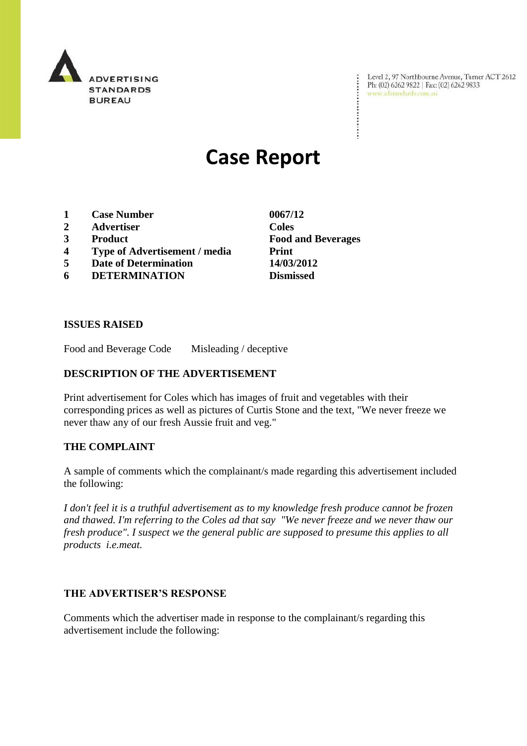

Level 2, 97 Northbourne Avenue, Turner ACT 2612<br>Ph: (02) 6262 9822 | Fax: (02) 6262 9833<br>www.adstandards.com.au

# **Case Report**

- **1 Case Number 0067/12**
- **2 Advertiser Coles**
- 
- **4 Type of Advertisement / media Print**
- **5 Date of Determination 14/03/2012**
- **6 DETERMINATION Dismissed**

**3 Product Food and Beverages**

÷

## **ISSUES RAISED**

Food and Beverage Code Misleading / deceptive

## **DESCRIPTION OF THE ADVERTISEMENT**

Print advertisement for Coles which has images of fruit and vegetables with their corresponding prices as well as pictures of Curtis Stone and the text, "We never freeze we never thaw any of our fresh Aussie fruit and veg."

## **THE COMPLAINT**

A sample of comments which the complainant/s made regarding this advertisement included the following:

*I don't feel it is a truthful advertisement as to my knowledge fresh produce cannot be frozen and thawed. I'm referring to the Coles ad that say "We never freeze and we never thaw our fresh produce". I suspect we the general public are supposed to presume this applies to all products i.e.meat.*

## **THE ADVERTISER'S RESPONSE**

Comments which the advertiser made in response to the complainant/s regarding this advertisement include the following: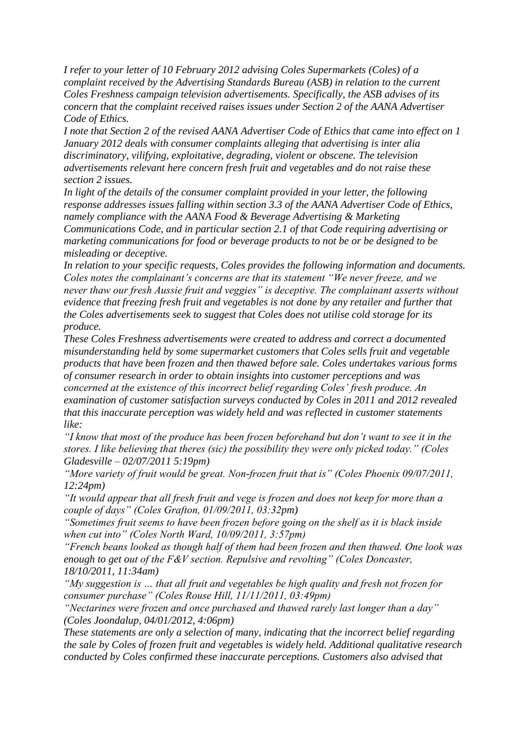*I refer to your letter of 10 February 2012 advising Coles Supermarkets (Coles) of a complaint received by the Advertising Standards Bureau (ASB) in relation to the current Coles Freshness campaign television advertisements. Specifically, the ASB advises of its concern that the complaint received raises issues under Section 2 of the AANA Advertiser Code of Ethics.* 

*I note that Section 2 of the revised AANA Advertiser Code of Ethics that came into effect on 1 January 2012 deals with consumer complaints alleging that advertising is inter alia discriminatory, vilifying, exploitative, degrading, violent or obscene. The television advertisements relevant here concern fresh fruit and vegetables and do not raise these section 2 issues.* 

*In light of the details of the consumer complaint provided in your letter, the following response addresses issues falling within section 3.3 of the AANA Advertiser Code of Ethics, namely compliance with the AANA Food & Beverage Advertising & Marketing Communications Code, and in particular section 2.1 of that Code requiring advertising or marketing communications for food or beverage products to not be or be designed to be misleading or deceptive.* 

*In relation to your specific requests, Coles provides the following information and documents. Coles notes the complainant's concerns are that its statement "We never freeze, and we never thaw our fresh Aussie fruit and veggies" is deceptive. The complainant asserts without evidence that freezing fresh fruit and vegetables is not done by any retailer and further that the Coles advertisements seek to suggest that Coles does not utilise cold storage for its produce.*

*These Coles Freshness advertisements were created to address and correct a documented misunderstanding held by some supermarket customers that Coles sells fruit and vegetable products that have been frozen and then thawed before sale. Coles undertakes various forms of consumer research in order to obtain insights into customer perceptions and was concerned at the existence of this incorrect belief regarding Coles' fresh produce. An examination of customer satisfaction surveys conducted by Coles in 2011 and 2012 revealed that this inaccurate perception was widely held and was reflected in customer statements like:* 

*"I know that most of the produce has been frozen beforehand but don't want to see it in the stores. I like believing that theres (sic) the possibility they were only picked today." (Coles Gladesville – 02/07/2011 5:19pm)* 

*"More variety of fruit would be great. Non-frozen fruit that is" (Coles Phoenix 09/07/2011, 12:24pm)* 

*"It would appear that all fresh fruit and vege is frozen and does not keep for more than a couple of days" (Coles Grafton, 01/09/2011, 03:32pm)* 

*"Sometimes fruit seems to have been frozen before going on the shelf as it is black inside when cut into" (Coles North Ward, 10/09/2011, 3:57pm)* 

*"French beans looked as though half of them had been frozen and then thawed. One look was enough to get out of the F&V section. Repulsive and revolting" (Coles Doncaster, 18/10/2011, 11:34am)* 

*"My suggestion is … that all fruit and vegetables be high quality and fresh not frozen for consumer purchase" (Coles Rouse Hill, 11/11/2011, 03:49pm)* 

*"Nectarines were frozen and once purchased and thawed rarely last longer than a day" (Coles Joondalup, 04/01/2012, 4:06pm)* 

*These statements are only a selection of many, indicating that the incorrect belief regarding the sale by Coles of frozen fruit and vegetables is widely held. Additional qualitative research conducted by Coles confirmed these inaccurate perceptions. Customers also advised that*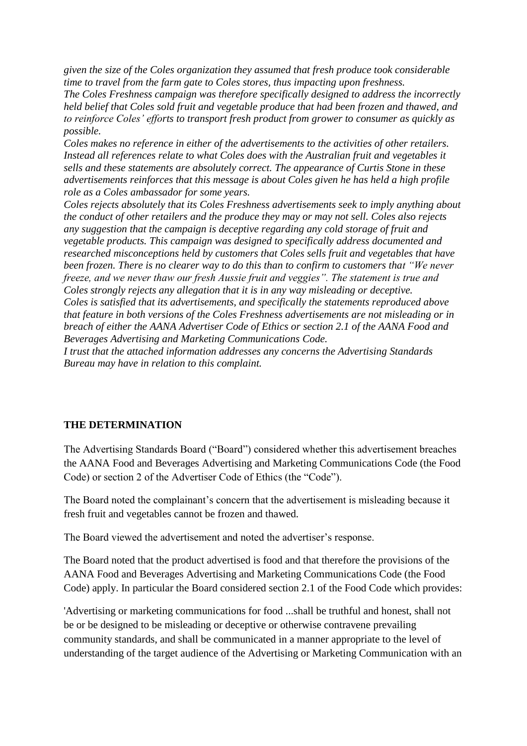*given the size of the Coles organization they assumed that fresh produce took considerable time to travel from the farm gate to Coles stores, thus impacting upon freshness.* 

*The Coles Freshness campaign was therefore specifically designed to address the incorrectly held belief that Coles sold fruit and vegetable produce that had been frozen and thawed, and to reinforce Coles' efforts to transport fresh product from grower to consumer as quickly as possible.* 

*Coles makes no reference in either of the advertisements to the activities of other retailers. Instead all references relate to what Coles does with the Australian fruit and vegetables it sells and these statements are absolutely correct. The appearance of Curtis Stone in these advertisements reinforces that this message is about Coles given he has held a high profile role as a Coles ambassador for some years.*

*Coles rejects absolutely that its Coles Freshness advertisements seek to imply anything about the conduct of other retailers and the produce they may or may not sell. Coles also rejects any suggestion that the campaign is deceptive regarding any cold storage of fruit and vegetable products. This campaign was designed to specifically address documented and researched misconceptions held by customers that Coles sells fruit and vegetables that have been frozen. There is no clearer way to do this than to confirm to customers that "We never freeze, and we never thaw our fresh Aussie fruit and veggies". The statement is true and Coles strongly rejects any allegation that it is in any way misleading or deceptive. Coles is satisfied that its advertisements, and specifically the statements reproduced above that feature in both versions of the Coles Freshness advertisements are not misleading or in breach of either the AANA Advertiser Code of Ethics or section 2.1 of the AANA Food and Beverages Advertising and Marketing Communications Code.* 

*I trust that the attached information addresses any concerns the Advertising Standards Bureau may have in relation to this complaint.*

## **THE DETERMINATION**

The Advertising Standards Board ("Board") considered whether this advertisement breaches the AANA Food and Beverages Advertising and Marketing Communications Code (the Food Code) or section 2 of the Advertiser Code of Ethics (the "Code").

The Board noted the complainant's concern that the advertisement is misleading because it fresh fruit and vegetables cannot be frozen and thawed.

The Board viewed the advertisement and noted the advertiser's response.

The Board noted that the product advertised is food and that therefore the provisions of the AANA Food and Beverages Advertising and Marketing Communications Code (the Food Code) apply. In particular the Board considered section 2.1 of the Food Code which provides:

'Advertising or marketing communications for food ...shall be truthful and honest, shall not be or be designed to be misleading or deceptive or otherwise contravene prevailing community standards, and shall be communicated in a manner appropriate to the level of understanding of the target audience of the Advertising or Marketing Communication with an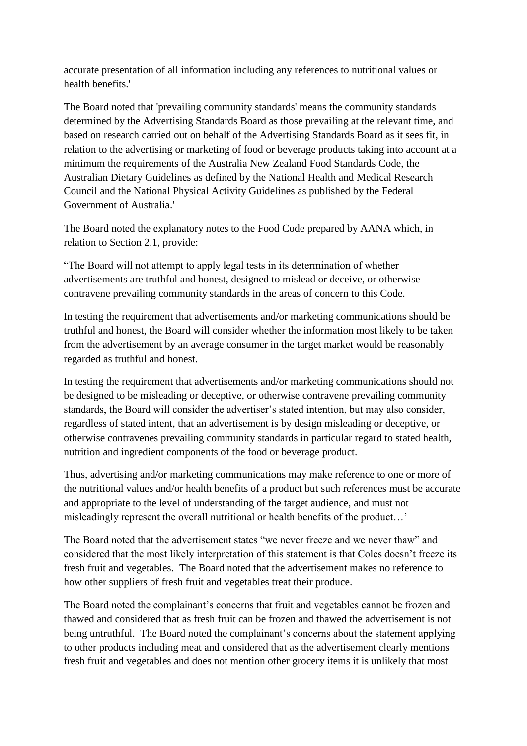accurate presentation of all information including any references to nutritional values or health benefits.'

The Board noted that 'prevailing community standards' means the community standards determined by the Advertising Standards Board as those prevailing at the relevant time, and based on research carried out on behalf of the Advertising Standards Board as it sees fit, in relation to the advertising or marketing of food or beverage products taking into account at a minimum the requirements of the Australia New Zealand Food Standards Code, the Australian Dietary Guidelines as defined by the National Health and Medical Research Council and the National Physical Activity Guidelines as published by the Federal Government of Australia.'

The Board noted the explanatory notes to the Food Code prepared by AANA which, in relation to Section 2.1, provide:

"The Board will not attempt to apply legal tests in its determination of whether advertisements are truthful and honest, designed to mislead or deceive, or otherwise contravene prevailing community standards in the areas of concern to this Code.

In testing the requirement that advertisements and/or marketing communications should be truthful and honest, the Board will consider whether the information most likely to be taken from the advertisement by an average consumer in the target market would be reasonably regarded as truthful and honest.

In testing the requirement that advertisements and/or marketing communications should not be designed to be misleading or deceptive, or otherwise contravene prevailing community standards, the Board will consider the advertiser's stated intention, but may also consider, regardless of stated intent, that an advertisement is by design misleading or deceptive, or otherwise contravenes prevailing community standards in particular regard to stated health, nutrition and ingredient components of the food or beverage product.

Thus, advertising and/or marketing communications may make reference to one or more of the nutritional values and/or health benefits of a product but such references must be accurate and appropriate to the level of understanding of the target audience, and must not misleadingly represent the overall nutritional or health benefits of the product…'

The Board noted that the advertisement states "we never freeze and we never thaw" and considered that the most likely interpretation of this statement is that Coles doesn't freeze its fresh fruit and vegetables. The Board noted that the advertisement makes no reference to how other suppliers of fresh fruit and vegetables treat their produce.

The Board noted the complainant's concerns that fruit and vegetables cannot be frozen and thawed and considered that as fresh fruit can be frozen and thawed the advertisement is not being untruthful. The Board noted the complainant's concerns about the statement applying to other products including meat and considered that as the advertisement clearly mentions fresh fruit and vegetables and does not mention other grocery items it is unlikely that most